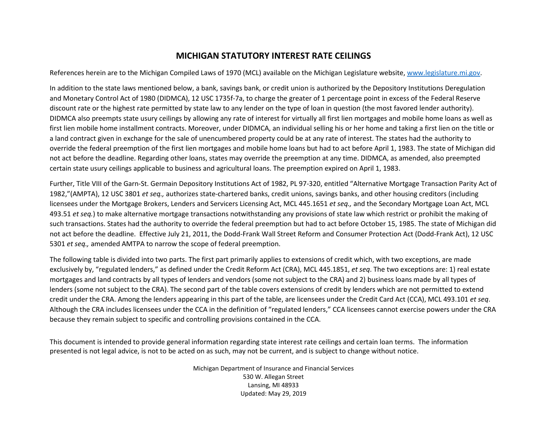## **MICHIGAN STATUTORY INTEREST RATE CEILINGS**

References herein are to the Michigan Compiled Laws of 1970 (MCL) available on the Michigan Legislature website, [www.legislature.mi.gov.](http://www.legislature.mi.gov/)

In addition to the state laws mentioned below, a bank, savings bank, or credit union is authorized by the Depository Institutions Deregulation and Monetary Control Act of 1980 (DIDMCA), 12 USC 1735f-7a, to charge the greater of 1 percentage point in excess of the Federal Reserve discount rate or the highest rate permitted by state law to any lender on the type of loan in question (the most favored lender authority). DIDMCA also preempts state usury ceilings by allowing any rate of interest for virtually all first lien mortgages and mobile home loans as well as first lien mobile home installment contracts. Moreover, under DIDMCA, an individual selling his or her home and taking a first lien on the title or a land contract given in exchange for the sale of unencumbered property could be at any rate of interest. The states had the authority to override the federal preemption of the first lien mortgages and mobile home loans but had to act before April 1, 1983. The state of Michigan did not act before the deadline. Regarding other loans, states may override the preemption at any time. DIDMCA, as amended, also preempted certain state usury ceilings applicable to business and agricultural loans. The preemption expired on April 1, 1983.

Further, Title VIII of the Garn-St. Germain Depository Institutions Act of 1982, PL 97-320, entitled "Alternative Mortgage Transaction Parity Act of 1982,"(AMPTA), 12 USC 3801 *et seq.,* authorizes state-chartered banks, credit unions, savings banks, and other housing creditors (including licensees under the Mortgage Brokers, Lenders and Servicers Licensing Act, MCL 445.1651 *et seq.,* and the Secondary Mortgage Loan Act, MCL 493.51 *et seq.*) to make alternative mortgage transactions notwithstanding any provisions of state law which restrict or prohibit the making of such transactions. States had the authority to override the federal preemption but had to act before October 15, 1985. The state of Michigan did not act before the deadline. Effective July 21, 2011, the Dodd-Frank Wall Street Reform and Consumer Protection Act (Dodd-Frank Act), 12 USC 5301 *et seq.,* amended AMTPA to narrow the scope of federal preemption.

The following table is divided into two parts. The first part primarily applies to extensions of credit which, with two exceptions, are made exclusively by, "regulated lenders," as defined under the Credit Reform Act (CRA), MCL 445.1851, *et seq*. The two exceptions are: 1) real estate mortgages and land contracts by all types of lenders and vendors (some not subject to the CRA) and 2) business loans made by all types of lenders (some not subject to the CRA). The second part of the table covers extensions of credit by lenders which are not permitted to extend credit under the CRA. Among the lenders appearing in this part of the table, are licensees under the Credit Card Act (CCA), MCL 493.101 *et seq*. Although the CRA includes licensees under the CCA in the definition of "regulated lenders," CCA licensees cannot exercise powers under the CRA because they remain subject to specific and controlling provisions contained in the CCA.

This document is intended to provide general information regarding state interest rate ceilings and certain loan terms. The information presented is not legal advice, is not to be acted on as such, may not be current, and is subject to change without notice.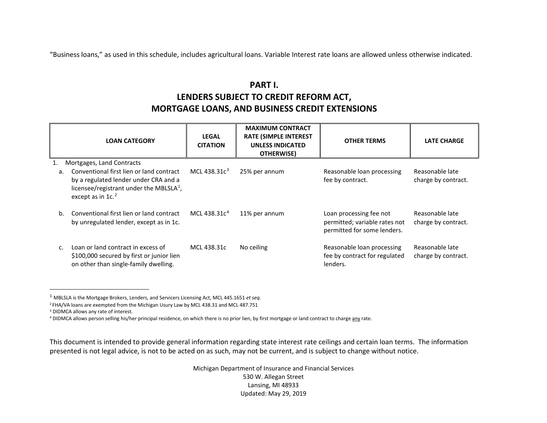"Business loans," as used in this schedule, includes agricultural loans. Variable Interest rate loans are allowed unless otherwise indicated.

## <span id="page-1-3"></span><span id="page-1-2"></span><span id="page-1-1"></span><span id="page-1-0"></span>**PART I. LENDERS SUBJECT TO CREDIT REFORM ACT, MORTGAGE LOANS, AND BUSINESS CREDIT EXTENSIONS**

|                      | <b>LOAN CATEGORY</b>                                                                                                                                                                           | <b>LEGAL</b><br><b>CITATION</b> | <b>MAXIMUM CONTRACT</b><br><b>RATE (SIMPLE INTEREST</b><br><b>UNLESS INDICATED</b><br>OTHERWISE) | <b>OTHER TERMS</b>                                                                      | <b>LATE CHARGE</b>                     |
|----------------------|------------------------------------------------------------------------------------------------------------------------------------------------------------------------------------------------|---------------------------------|--------------------------------------------------------------------------------------------------|-----------------------------------------------------------------------------------------|----------------------------------------|
| 1.<br>a <sub>z</sub> | Mortgages, Land Contracts<br>Conventional first lien or land contract<br>by a regulated lender under CRA and a<br>licensee/registrant under the MBLSLA $^1$ ,<br>except as in 1c. <sup>2</sup> | MCL 438.31 $c^3$                | 25% per annum                                                                                    | Reasonable loan processing<br>fee by contract.                                          | Reasonable late<br>charge by contract. |
| b.                   | Conventional first lien or land contract<br>by unregulated lender, except as in 1c.                                                                                                            | MCL 438.31 $c4$                 | 11% per annum                                                                                    | Loan processing fee not<br>permitted; variable rates not<br>permitted for some lenders. | Reasonable late<br>charge by contract. |
|                      | Loan or land contract in excess of<br>\$100,000 secured by first or junior lien<br>on other than single-family dwelling.                                                                       | MCL 438.31c                     | No ceiling                                                                                       | Reasonable loan processing<br>fee by contract for regulated<br>lenders.                 | Reasonable late<br>charge by contract. |

1 MBLSLA is the Mortgage Brokers, Lenders, and Servicers Licensing Act, MCL 445.1651 *et seq.*

2 FHA/VA loans are exempted from the Michigan Usury Law by MCL 438.31 and MCL 487.751

<sup>3</sup> DIDMCA allows any rate of interest.

4 DIDMCA allows person selling his/her principal residence, on which there is no prior lien, by first mortgage or land contract to charge any rate.

This document is intended to provide general information regarding state interest rate ceilings and certain loan terms. The information presented is not legal advice, is not to be acted on as such, may not be current, and is subject to change without notice.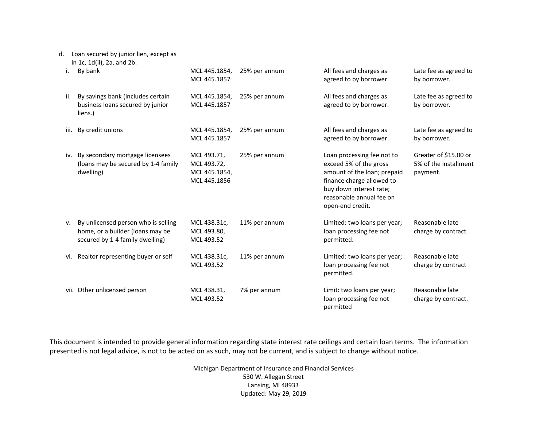## d. Loan secured by junior lien, except as

in 1c, 1d(ii), 2a, and 2b.

| i.   | By bank                                                                                                    | MCL 445.1854,<br>MCL 445.1857                               | 25% per annum | All fees and charges as<br>agreed to by borrower.                                                                                                                                           | Late fee as agreed to<br>by borrower.                      |
|------|------------------------------------------------------------------------------------------------------------|-------------------------------------------------------------|---------------|---------------------------------------------------------------------------------------------------------------------------------------------------------------------------------------------|------------------------------------------------------------|
| ii.  | By savings bank (includes certain<br>business loans secured by junior<br>liens.)                           | MCL 445.1854,<br>MCL 445.1857                               | 25% per annum | All fees and charges as<br>agreed to by borrower.                                                                                                                                           | Late fee as agreed to<br>by borrower.                      |
| iii. | By credit unions                                                                                           | MCL 445.1854,<br>MCL 445.1857                               | 25% per annum | All fees and charges as<br>agreed to by borrower.                                                                                                                                           | Late fee as agreed to<br>by borrower.                      |
| iv.  | By secondary mortgage licensees<br>(loans may be secured by 1-4 family<br>dwelling)                        | MCL 493.71,<br>MCL 493.72,<br>MCL 445.1854,<br>MCL 445.1856 | 25% per annum | Loan processing fee not to<br>exceed 5% of the gross<br>amount of the loan; prepaid<br>finance charge allowed to<br>buy down interest rate;<br>reasonable annual fee on<br>open-end credit. | Greater of \$15.00 or<br>5% of the installment<br>payment. |
| ν.   | By unlicensed person who is selling<br>home, or a builder (loans may be<br>secured by 1-4 family dwelling) | MCL 438.31c,<br>MCL 493.80,<br>MCL 493.52                   | 11% per annum | Limited: two loans per year;<br>loan processing fee not<br>permitted.                                                                                                                       | Reasonable late<br>charge by contract.                     |
| vi.  | Realtor representing buyer or self                                                                         | MCL 438.31c,<br>MCL 493.52                                  | 11% per annum | Limited: two loans per year;<br>loan processing fee not<br>permitted.                                                                                                                       | Reasonable late<br>charge by contract                      |
|      | vii. Other unlicensed person                                                                               | MCL 438.31,<br>MCL 493.52                                   | 7% per annum  | Limit: two loans per year;<br>loan processing fee not<br>permitted                                                                                                                          | Reasonable late<br>charge by contract.                     |

This document is intended to provide general information regarding state interest rate ceilings and certain loan terms. The information presented is not legal advice, is not to be acted on as such, may not be current, and is subject to change without notice.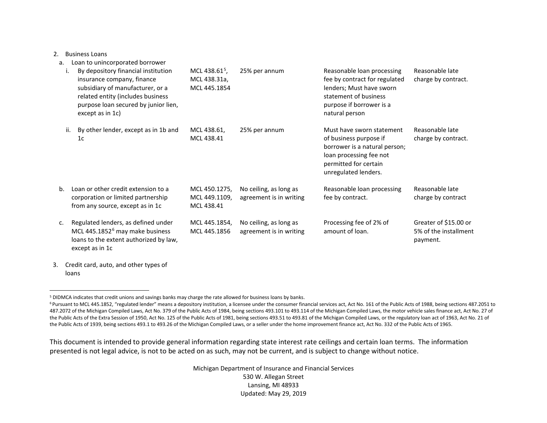<span id="page-3-1"></span><span id="page-3-0"></span>2. Business Loans

- a. Loan to unincorporated borrower i. By depository financial institution insurance company, finance subsidiary of manufacturer, or a related entity (includes business purpose loan secured by junior lien, except as in 1c) MCL 438.61 $^{5}$  $^{5}$  $^{5}$ , MCL 438.31a, MCL 445.1854 25% per annum Reasonable loan processing fee by contract for regulated lenders; Must have sworn statement of business purpose if borrower is a natural person Reasonable late charge by contract. ii. By other lender, except as in 1b and  $1<sub>c</sub>$ MCL 438.61, MCL 438.41 25% per annum Must have sworn statement of business purpose if borrower is a natural person; loan processing fee not permitted for certain unregulated lenders. Reasonable late charge by contract. b. Loan or other credit extension to a corporation or limited partnership from any source, except as in 1c MCL 450.1275, MCL 449.1109, MCL 438.41 No ceiling, as long as agreement is in writing Reasonable loan processing fee by contract. Reasonable late charge by contract c. Regulated lenders, as defined under MCL 445.1852<sup>[6](#page-3-1)</sup> may make business loans to the extent authorized by law, except as in 1c MCL 445.1854, MCL 445.1856 No ceiling, as long as agreement is in writing Processing fee of 2% of amount of loan. Greater of \$15.00 or 5% of the installment payment.
- 3. Credit card, auto, and other types of loans

This document is intended to provide general information regarding state interest rate ceilings and certain loan terms. The information presented is not legal advice, is not to be acted on as such, may not be current, and is subject to change without notice.

 <sup>5</sup> DIDMCA indicates that credit unions and savings banks may charge the rate allowed for business loans by banks.

<sup>&</sup>lt;sup>6</sup> Pursuant to MCL 445.1852, "regulated lender" means a depository institution, a licensee under the consumer financial services act, Act No. 161 of the Public Acts of 1988, being sections 487.2051 to 487.2072 of the Michigan Compiled Laws, Act No. 379 of the Public Acts of 1984, being sections 493.101 to 493.114 of the Michigan Compiled Laws, the motor vehicle sales finance act, Act No. 27 of the Public Acts of the Extra Session of 1950, Act No. 125 of the Public Acts of 1981, being sections 493.51 to 493.81 of the Michigan Compiled Laws, or the regulatory loan act of 1963, Act No. 21 of the Public Acts of 1939, being sections 493.1 to 493.26 of the Michigan Compiled Laws, or a seller under the home improvement finance act, Act No. 332 of the Public Acts of 1965.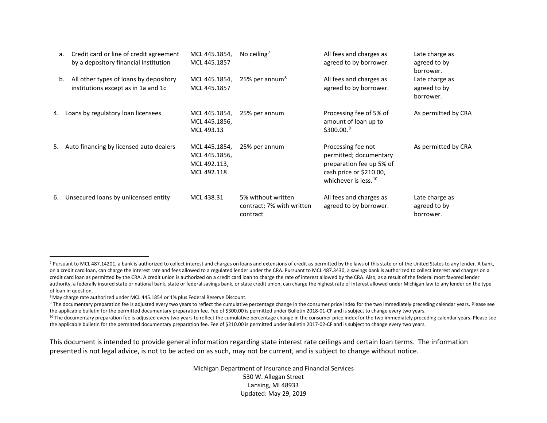<span id="page-4-3"></span><span id="page-4-2"></span><span id="page-4-1"></span><span id="page-4-0"></span>

| а. | Credit card or line of credit agreement<br>by a depository financial institution | MCL 445.1854,<br>MCL 445.1857                                 | No ceiling <sup>7</sup>                                     | All fees and charges as<br>agreed to by borrower.                                                                                       | Late charge as<br>agreed to by<br>borrower. |
|----|----------------------------------------------------------------------------------|---------------------------------------------------------------|-------------------------------------------------------------|-----------------------------------------------------------------------------------------------------------------------------------------|---------------------------------------------|
| b. | All other types of loans by depository<br>institutions except as in 1a and 1c    | MCL 445.1854,<br>MCL 445.1857                                 | 25% per annum <sup>8</sup>                                  | All fees and charges as<br>agreed to by borrower.                                                                                       | Late charge as<br>agreed to by<br>borrower. |
| 4. | Loans by regulatory loan licensees                                               | MCL 445.1854,<br>MCL 445.1856,<br>MCL 493.13                  | 25% per annum                                               | Processing fee of 5% of<br>amount of loan up to<br>\$300.00.9                                                                           | As permitted by CRA                         |
|    | 5. Auto financing by licensed auto dealers                                       | MCL 445.1854,<br>MCL 445.1856,<br>MCL 492.113,<br>MCL 492.118 | 25% per annum                                               | Processing fee not<br>permitted; documentary<br>preparation fee up 5% of<br>cash price or \$210.00,<br>whichever is less. <sup>10</sup> | As permitted by CRA                         |
| 6. | Unsecured loans by unlicensed entity                                             | MCL 438.31                                                    | 5% without written<br>contract; 7% with written<br>contract | All fees and charges as<br>agreed to by borrower.                                                                                       | Late charge as<br>agreed to by<br>borrower. |

<sup>9</sup> The documentary preparation fee is adjusted every two years to reflect the cumulative percentage change in the consumer price index for the two immediately preceding calendar years. Please see the applicable bulletin for the permitted documentary preparation fee. Fee of \$300.00 is permitted under Bulletin 2018-01-CF and is subject to change every two years.

<sup>10</sup> The documentary preparation fee is adjusted every two years to reflect the cumulative percentage change in the consumer price index for the two immediately preceding calendar years. Please see the applicable bulletin for the permitted documentary preparation fee. Fee of \$210.00 is permitted under Bulletin 2017-02-CF and is subject to change every two years.

This document is intended to provide general information regarding state interest rate ceilings and certain loan terms. The information presented is not legal advice, is not to be acted on as such, may not be current, and is subject to change without notice.

<sup>&</sup>lt;sup>7</sup> Pursuant to MCL 487.14201, a bank is authorized to collect interest and charges on loans and extensions of credit as permitted by the laws of this state or of the United States to any lender. A bank, on a credit card loan, can charge the interest rate and fees allowed to a regulated lender under the CRA. Pursuant to MCL 487.3430, a savings bank is authorized to collect interest and charges on a credit card loan as permitted by the CRA. A credit union is authorized on a credit card loan to charge the rate of interest allowed by the CRA. Also, as a result of the federal most favored lender authority, a federally insured state or national bank, state or federal savings bank, or state credit union, can charge the highest rate of interest allowed under Michigan law to any lender on the type of loan in question.

<sup>8</sup> May charge rate authorized under MCL 445.1854 or 1% plus Federal Reserve Discount.